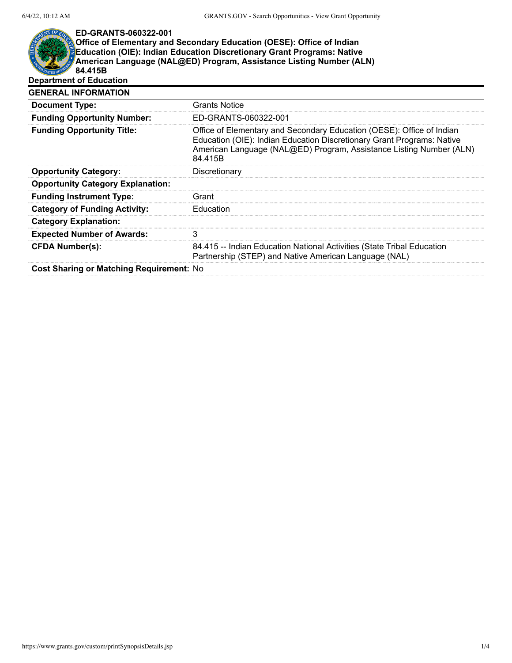## NT OF ED.

## **ED-GRANTS-060322-001 Office of Elementary and Secondary Education (OESE): Office of Indian Education (OIE): Indian Education Discretionary Grant Programs: Native American Language (NAL@ED) Program, Assistance Listing Number (ALN) 84.415B Department of Education**

| <b>GENERAL INFORMATION</b>               |                                                                                                                                                                                                                                   |
|------------------------------------------|-----------------------------------------------------------------------------------------------------------------------------------------------------------------------------------------------------------------------------------|
| <b>Document Type:</b>                    | <b>Grants Notice</b>                                                                                                                                                                                                              |
| <b>Funding Opportunity Number:</b>       | ED-GRANTS-060322-001                                                                                                                                                                                                              |
| <b>Funding Opportunity Title:</b>        | Office of Elementary and Secondary Education (OESE): Office of Indian<br>Education (OIE): Indian Education Discretionary Grant Programs: Native<br>American Language (NAL@ED) Program, Assistance Listing Number (ALN)<br>84.415B |
| <b>Opportunity Category:</b>             | Discretionary                                                                                                                                                                                                                     |
| <b>Opportunity Category Explanation:</b> |                                                                                                                                                                                                                                   |
| <b>Funding Instrument Type:</b>          | Grant                                                                                                                                                                                                                             |
| <b>Category of Funding Activity:</b>     | Education                                                                                                                                                                                                                         |
| <b>Category Explanation:</b>             |                                                                                                                                                                                                                                   |
| <b>Expected Number of Awards:</b>        |                                                                                                                                                                                                                                   |
| <b>CFDA Number(s):</b>                   | 84.415 -- Indian Education National Activities (State Tribal Education<br>Partnership (STEP) and Native American Language (NAL)                                                                                                   |
|                                          |                                                                                                                                                                                                                                   |

**Cost Sharing or Matching Requirement:** No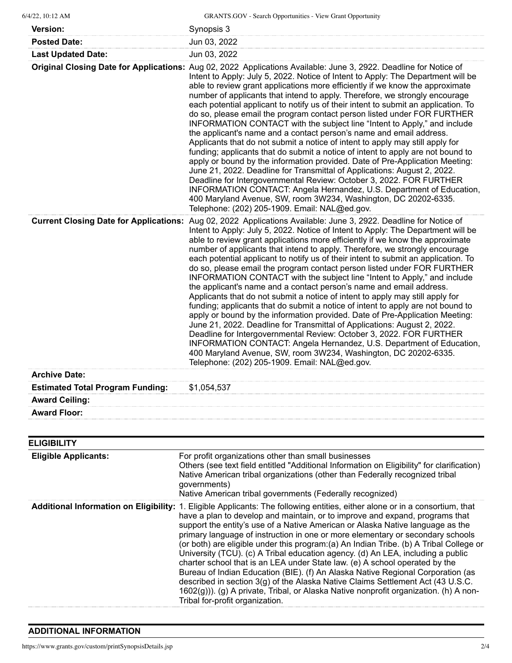| 6/4/22, 10:12 AM                        | <b>GRANTS.GOV</b> - Search Opportunities - View Grant Opportunity                                                                                                                                                                                                                                                                                                                                                                                                                                                                                                                                                                                                                                                                                                                                                                                                                                                                                                                                                                                                                                                                                                                                                                                                                            |
|-----------------------------------------|----------------------------------------------------------------------------------------------------------------------------------------------------------------------------------------------------------------------------------------------------------------------------------------------------------------------------------------------------------------------------------------------------------------------------------------------------------------------------------------------------------------------------------------------------------------------------------------------------------------------------------------------------------------------------------------------------------------------------------------------------------------------------------------------------------------------------------------------------------------------------------------------------------------------------------------------------------------------------------------------------------------------------------------------------------------------------------------------------------------------------------------------------------------------------------------------------------------------------------------------------------------------------------------------|
| <b>Version:</b>                         | Synopsis 3                                                                                                                                                                                                                                                                                                                                                                                                                                                                                                                                                                                                                                                                                                                                                                                                                                                                                                                                                                                                                                                                                                                                                                                                                                                                                   |
| <b>Posted Date:</b>                     | Jun 03, 2022                                                                                                                                                                                                                                                                                                                                                                                                                                                                                                                                                                                                                                                                                                                                                                                                                                                                                                                                                                                                                                                                                                                                                                                                                                                                                 |
| <b>Last Updated Date:</b>               | Jun 03, 2022                                                                                                                                                                                                                                                                                                                                                                                                                                                                                                                                                                                                                                                                                                                                                                                                                                                                                                                                                                                                                                                                                                                                                                                                                                                                                 |
|                                         | Original Closing Date for Applications: Aug 02, 2022 Applications Available: June 3, 2922. Deadline for Notice of<br>Intent to Apply: July 5, 2022. Notice of Intent to Apply: The Department will be<br>able to review grant applications more efficiently if we know the approximate<br>number of applicants that intend to apply. Therefore, we strongly encourage<br>each potential applicant to notify us of their intent to submit an application. To<br>do so, please email the program contact person listed under FOR FURTHER<br>INFORMATION CONTACT with the subject line "Intent to Apply," and include<br>the applicant's name and a contact person's name and email address.<br>Applicants that do not submit a notice of intent to apply may still apply for<br>funding; applicants that do submit a notice of intent to apply are not bound to<br>apply or bound by the information provided. Date of Pre-Application Meeting:<br>June 21, 2022. Deadline for Transmittal of Applications: August 2, 2022.<br>Deadline for Intergovernmental Review: October 3, 2022. FOR FURTHER<br>INFORMATION CONTACT: Angela Hernandez, U.S. Department of Education,<br>400 Maryland Avenue, SW, room 3W234, Washington, DC 20202-6335.<br>Telephone: (202) 205-1909. Email: NAL@ed.gov. |
|                                         | Current Closing Date for Applications: Aug 02, 2022 Applications Available: June 3, 2922. Deadline for Notice of<br>Intent to Apply: July 5, 2022. Notice of Intent to Apply: The Department will be<br>able to review grant applications more efficiently if we know the approximate<br>number of applicants that intend to apply. Therefore, we strongly encourage<br>each potential applicant to notify us of their intent to submit an application. To<br>do so, please email the program contact person listed under FOR FURTHER<br>INFORMATION CONTACT with the subject line "Intent to Apply," and include<br>the applicant's name and a contact person's name and email address.<br>Applicants that do not submit a notice of intent to apply may still apply for<br>funding; applicants that do submit a notice of intent to apply are not bound to<br>apply or bound by the information provided. Date of Pre-Application Meeting:<br>June 21, 2022. Deadline for Transmittal of Applications: August 2, 2022.<br>Deadline for Intergovernmental Review: October 3, 2022. FOR FURTHER<br>INFORMATION CONTACT: Angela Hernandez, U.S. Department of Education,<br>400 Maryland Avenue, SW, room 3W234, Washington, DC 20202-6335.<br>Telephone: (202) 205-1909. Email: NAL@ed.gov.  |
| <b>Archive Date:</b>                    |                                                                                                                                                                                                                                                                                                                                                                                                                                                                                                                                                                                                                                                                                                                                                                                                                                                                                                                                                                                                                                                                                                                                                                                                                                                                                              |
| <b>Estimated Total Program Funding:</b> | \$1,054,537                                                                                                                                                                                                                                                                                                                                                                                                                                                                                                                                                                                                                                                                                                                                                                                                                                                                                                                                                                                                                                                                                                                                                                                                                                                                                  |
| <b>Award Ceiling:</b>                   |                                                                                                                                                                                                                                                                                                                                                                                                                                                                                                                                                                                                                                                                                                                                                                                                                                                                                                                                                                                                                                                                                                                                                                                                                                                                                              |
| <b>Award Floor:</b>                     |                                                                                                                                                                                                                                                                                                                                                                                                                                                                                                                                                                                                                                                                                                                                                                                                                                                                                                                                                                                                                                                                                                                                                                                                                                                                                              |
|                                         |                                                                                                                                                                                                                                                                                                                                                                                                                                                                                                                                                                                                                                                                                                                                                                                                                                                                                                                                                                                                                                                                                                                                                                                                                                                                                              |
| <b>ELIGIBILITY</b>                      |                                                                                                                                                                                                                                                                                                                                                                                                                                                                                                                                                                                                                                                                                                                                                                                                                                                                                                                                                                                                                                                                                                                                                                                                                                                                                              |
| <b>Eligible Applicants:</b>             | For profit organizations other than small businesses                                                                                                                                                                                                                                                                                                                                                                                                                                                                                                                                                                                                                                                                                                                                                                                                                                                                                                                                                                                                                                                                                                                                                                                                                                         |
|                                         | Others (see text field entitled "Additional Information on Eligibility" for clarification)<br>Native American tribal organizations (other than Federally recognized tribal<br>governments)<br>Native American tribal governments (Federally recognized)                                                                                                                                                                                                                                                                                                                                                                                                                                                                                                                                                                                                                                                                                                                                                                                                                                                                                                                                                                                                                                      |
|                                         | Additional Information on Eligibility: 1. Eligible Applicants: The following entities, either alone or in a consortium, that<br>have a plan to develop and maintain, or to improve and expand, programs that<br>support the entity's use of a Native American or Alaska Native language as the<br>primary language of instruction in one or more elementary or secondary schools<br>(or both) are eligible under this program:(a) An Indian Tribe. (b) A Tribal College or<br>University (TCU). (c) A Tribal education agency. (d) An LEA, including a public<br>charter school that is an LEA under State law. (e) A school operated by the<br>Bureau of Indian Education (BIE). (f) An Alaska Native Regional Corporation (as<br>described in section 3(g) of the Alaska Native Claims Settlement Act (43 U.S.C.<br>1602(g))). (g) A private, Tribal, or Alaska Native nonprofit organization. (h) A non-<br>Tribal for-profit organization.                                                                                                                                                                                                                                                                                                                                               |

## **ADDITIONAL INFORMATION**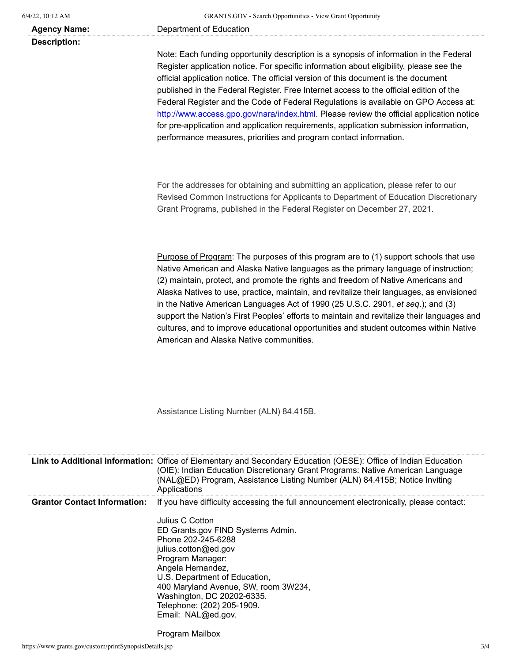**Description:**

**Agency Name:** Department of Education

Note: Each funding opportunity description is a synopsis of information in the Federal Register application notice. For specific information about eligibility, please see the official application notice. The official version of this document is the document published in the Federal Register. Free Internet access to the official edition of the Federal Register and the Code of Federal Regulations is available on GPO Access at: [http://www.access.gpo.gov/nara/index.html.](http://www.access.gpo.gov/nara/index.html) Please review the official application notice for pre-application and application requirements, application submission information, performance measures, priorities and program contact information.

For the addresses for obtaining and submitting an application, please refer to our Revised Common Instructions for Applicants to Department of Education Discretionary Grant Programs, published in the Federal Register on December 27, 2021.

Purpose of Program: The purposes of this program are to (1) support schools that use Native American and Alaska Native languages as the primary language of instruction; (2) maintain, protect, and promote the rights and freedom of Native Americans and Alaska Natives to use, practice, maintain, and revitalize their languages, as envisioned in the Native American Languages Act of 1990 (25 U.S.C. 2901, *et seq*.); and (3) support the Nation's First Peoples' efforts to maintain and revitalize their languages and cultures, and to improve educational opportunities and student outcomes within Native American and Alaska Native communities.

Assistance Listing Number (ALN) 84.415B.

|                                     | Link to Additional Information: Office of Elementary and Secondary Education (OESE): Office of Indian Education<br>(OIE): Indian Education Discretionary Grant Programs: Native American Language<br>(NAL@ED) Program, Assistance Listing Number (ALN) 84.415B; Notice Inviting<br>Applications                                                                                                  |
|-------------------------------------|--------------------------------------------------------------------------------------------------------------------------------------------------------------------------------------------------------------------------------------------------------------------------------------------------------------------------------------------------------------------------------------------------|
| <b>Grantor Contact Information:</b> | If you have difficulty accessing the full announcement electronically, please contact:<br>Julius C Cotton<br>ED Grants.gov FIND Systems Admin.<br>Phone 202-245-6288<br>julius.cotton@ed.gov<br>Program Manager:<br>Angela Hernandez,<br>U.S. Department of Education,<br>400 Maryland Avenue, SW, room 3W234,<br>Washington, DC 20202-6335.<br>Telephone: (202) 205-1909.<br>Email: NAL@ed.gov. |

Program Mailbox